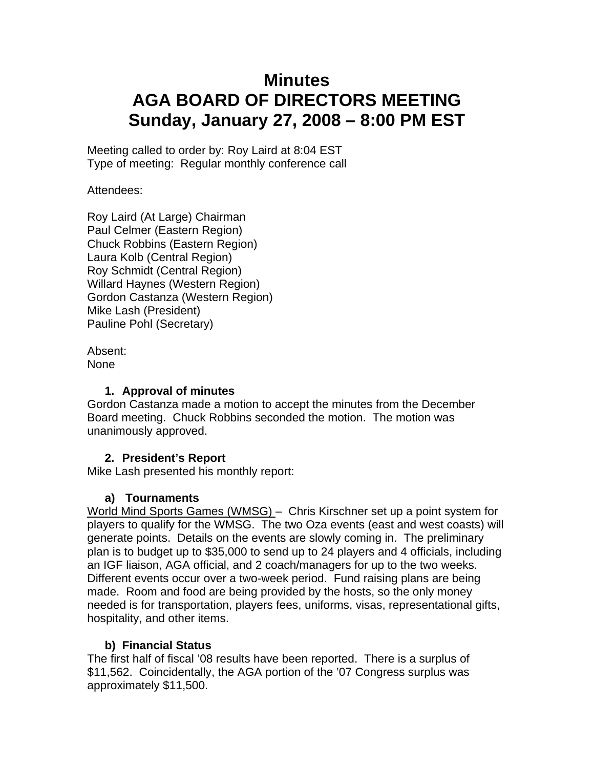# **Minutes AGA BOARD OF DIRECTORS MEETING Sunday, January 27, 2008 – 8:00 PM EST**

Meeting called to order by: Roy Laird at 8:04 EST Type of meeting: Regular monthly conference call

Attendees:

Roy Laird (At Large) Chairman Paul Celmer (Eastern Region) Chuck Robbins (Eastern Region) Laura Kolb (Central Region) Roy Schmidt (Central Region) Willard Haynes (Western Region) Gordon Castanza (Western Region) Mike Lash (President) Pauline Pohl (Secretary)

Absent: None

#### **1. Approval of minutes**

Gordon Castanza made a motion to accept the minutes from the December Board meeting. Chuck Robbins seconded the motion. The motion was unanimously approved.

# **2. President's Report**

Mike Lash presented his monthly report:

# **a) Tournaments**

World Mind Sports Games (WMSG) – Chris Kirschner set up a point system for players to qualify for the WMSG. The two Oza events (east and west coasts) will generate points. Details on the events are slowly coming in. The preliminary plan is to budget up to \$35,000 to send up to 24 players and 4 officials, including an IGF liaison, AGA official, and 2 coach/managers for up to the two weeks. Different events occur over a two-week period. Fund raising plans are being made. Room and food are being provided by the hosts, so the only money needed is for transportation, players fees, uniforms, visas, representational gifts, hospitality, and other items.

# **b) Financial Status**

The first half of fiscal '08 results have been reported. There is a surplus of \$11,562. Coincidentally, the AGA portion of the '07 Congress surplus was approximately \$11,500.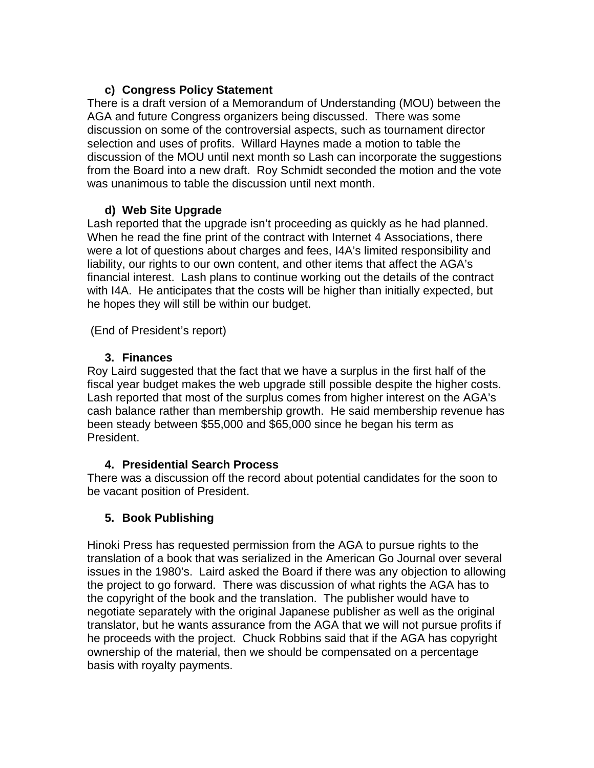#### **c) Congress Policy Statement**

There is a draft version of a Memorandum of Understanding (MOU) between the AGA and future Congress organizers being discussed. There was some discussion on some of the controversial aspects, such as tournament director selection and uses of profits. Willard Haynes made a motion to table the discussion of the MOU until next month so Lash can incorporate the suggestions from the Board into a new draft. Roy Schmidt seconded the motion and the vote was unanimous to table the discussion until next month.

#### **d) Web Site Upgrade**

Lash reported that the upgrade isn't proceeding as quickly as he had planned. When he read the fine print of the contract with Internet 4 Associations, there were a lot of questions about charges and fees, I4A's limited responsibility and liability, our rights to our own content, and other items that affect the AGA's financial interest. Lash plans to continue working out the details of the contract with I4A. He anticipates that the costs will be higher than initially expected, but he hopes they will still be within our budget.

(End of President's report)

# **3. Finances**

Roy Laird suggested that the fact that we have a surplus in the first half of the fiscal year budget makes the web upgrade still possible despite the higher costs. Lash reported that most of the surplus comes from higher interest on the AGA's cash balance rather than membership growth. He said membership revenue has been steady between \$55,000 and \$65,000 since he began his term as President.

# **4. Presidential Search Process**

There was a discussion off the record about potential candidates for the soon to be vacant position of President.

# **5. Book Publishing**

Hinoki Press has requested permission from the AGA to pursue rights to the translation of a book that was serialized in the American Go Journal over several issues in the 1980's. Laird asked the Board if there was any objection to allowing the project to go forward. There was discussion of what rights the AGA has to the copyright of the book and the translation. The publisher would have to negotiate separately with the original Japanese publisher as well as the original translator, but he wants assurance from the AGA that we will not pursue profits if he proceeds with the project. Chuck Robbins said that if the AGA has copyright ownership of the material, then we should be compensated on a percentage basis with royalty payments.